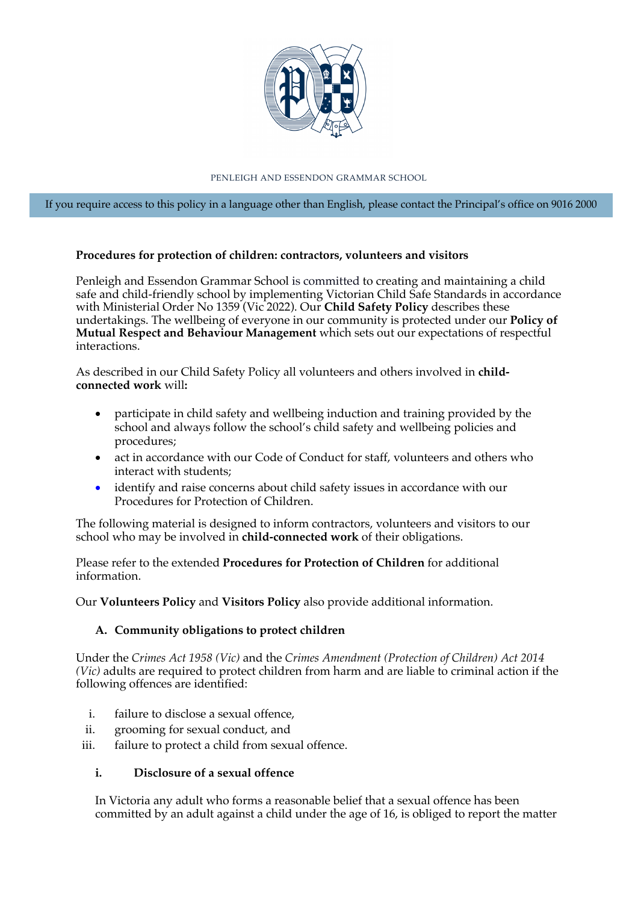

PENLEIGH AND ESSENDON GRAMMAR SCHOOL

If you require access to this policy in a language other than English, please contact the Principal's office on 9016 2000

### **Procedures for protection of children: contractors, volunteers and visitors**

Penleigh and Essendon Grammar School is committed to creating and maintaining a child safe and child-friendly school by implementing Victorian Child Safe Standards in accordance with Ministerial Order No 1359 (Vic 2022). Our **Child Safety Policy** describes these undertakings. The wellbeing of everyone in our community is protected under our **Policy of Mutual Respect and Behaviour Management** which sets out our expectations of respectful interactions.

As described in our Child Safety Policy all volunteers and others involved in **childconnected work** will**:**

- participate in child safety and wellbeing induction and training provided by the school and always follow the school's child safety and wellbeing policies and procedures;
- act in accordance with our Code of Conduct for staff, volunteers and others who interact with students;
- identify and raise concerns about child safety issues in accordance with our Procedures for Protection of Children.

The following material is designed to inform contractors, volunteers and visitors to our school who may be involved in **child-connected work** of their obligations.

Please refer to the extended **Procedures for Protection of Children** for additional information.

Our **Volunteers Policy** and **Visitors Policy** also provide additional information.

# **A. Community obligations to protect children**

Under the *Crimes Act 1958 (Vic)* and the *Crimes Amendment (Protection of Children) Act 2014 (Vic)* adults are required to protect children from harm and are liable to criminal action if the following offences are identified:

- i. failure to disclose a sexual offence,
- ii. grooming for sexual conduct, and
- iii. failure to protect a child from sexual offence.

#### **i. Disclosure of a sexual offence**

In Victoria any adult who forms a reasonable belief that a sexual offence has been committed by an adult against a child under the age of 16, is obliged to report the matter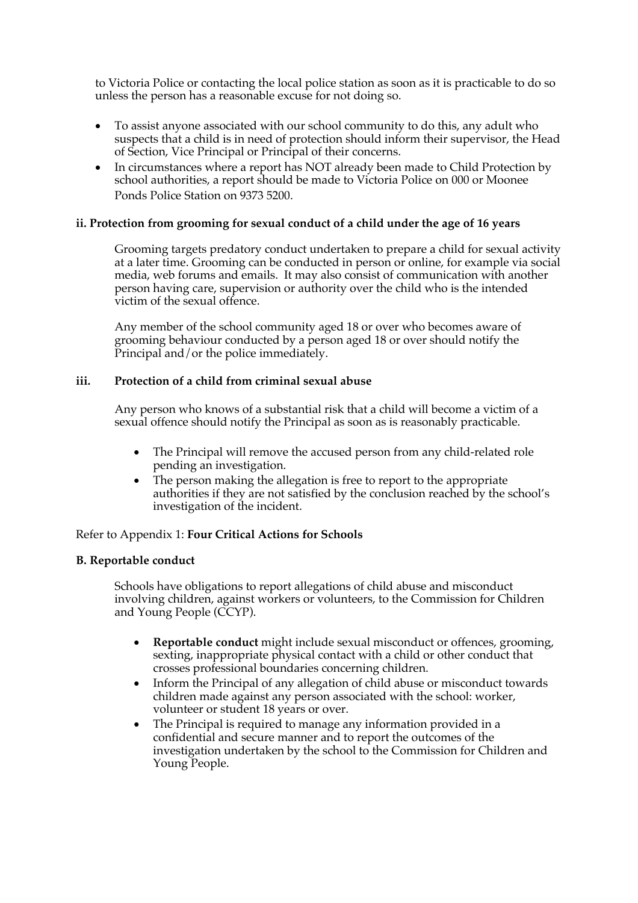to Victoria Police or contacting the local police station as soon as it is practicable to do so unless the person has a reasonable excuse for not doing so.

- To assist anyone associated with our school community to do this, any adult who suspects that a child is in need of protection should inform their supervisor, the Head of Section, Vice Principal or Principal of their concerns.
- In circumstances where a report has NOT already been made to Child Protection by school authorities, a report should be made to Victoria Police on 000 or Moonee Ponds Police Station on 9373 5200.

### **ii. Protection from grooming for sexual conduct of a child under the age of 16 years**

Grooming targets predatory conduct undertaken to prepare a child for sexual activity at a later time. Grooming can be conducted in person or online, for example via social media, web forums and emails. It may also consist of communication with another person having care, supervision or authority over the child who is the intended victim of the sexual offence.

Any member of the school community aged 18 or over who becomes aware of grooming behaviour conducted by a person aged 18 or over should notify the Principal and/or the police immediately.

### **iii. Protection of a child from criminal sexual abuse**

Any person who knows of a substantial risk that a child will become a victim of a sexual offence should notify the Principal as soon as is reasonably practicable.

- The Principal will remove the accused person from any child-related role pending an investigation.
- The person making the allegation is free to report to the appropriate authorities if they are not satisfied by the conclusion reached by the school's investigation of the incident.

#### Refer to Appendix 1: **Four Critical Actions for Schools**

#### **B. Reportable conduct**

Schools have obligations to report allegations of child abuse and misconduct involving children, against workers or volunteers, to the Commission for Children and Young People (CCYP).

- **Reportable conduct** might include sexual misconduct or offences, grooming, sexting, inappropriate physical contact with a child or other conduct that crosses professional boundaries concerning children.
- Inform the Principal of any allegation of child abuse or misconduct towards children made against any person associated with the school: worker, volunteer or student 18 years or over.
- The Principal is required to manage any information provided in a confidential and secure manner and to report the outcomes of the investigation undertaken by the school to the Commission for Children and Young People.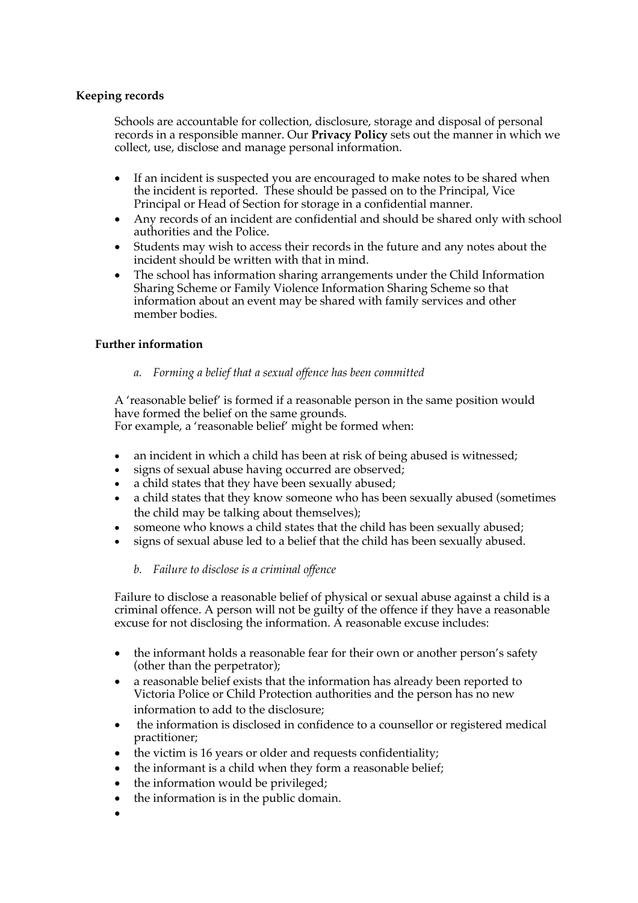### **Keeping records**

Schools are accountable for collection, disclosure, storage and disposal of personal records in a responsible manner. Our **Privacy Policy** sets out the manner in which we collect, use, disclose and manage personal information.

- If an incident is suspected you are encouraged to make notes to be shared when the incident is reported. These should be passed on to the Principal, Vice Principal or Head of Section for storage in a confidential manner.
- Any records of an incident are confidential and should be shared only with school authorities and the Police.
- Students may wish to access their records in the future and any notes about the incident should be written with that in mind.
- The school has information sharing arrangements under the Child Information Sharing Scheme or Family Violence Information Sharing Scheme so that information about an event may be shared with family services and other member bodies.

# **Further information**

### *a. Forming a belief that a sexual offence has been committed*

A 'reasonable belief' is formed if a reasonable person in the same position would have formed the belief on the same grounds.

For example, a 'reasonable belief' might be formed when:

- an incident in which a child has been at risk of being abused is witnessed;
- signs of sexual abuse having occurred are observed;
- a child states that they have been sexually abused;
- a child states that they know someone who has been sexually abused (sometimes the child may be talking about themselves);
- someone who knows a child states that the child has been sexually abused;
- signs of sexual abuse led to a belief that the child has been sexually abused.

# *b. Failure to disclose is a criminal offence*

Failure to disclose a reasonable belief of physical or sexual abuse against a child is a criminal offence. A person will not be guilty of the offence if they have a reasonable excuse for not disclosing the information. A reasonable excuse includes:

- the informant holds a reasonable fear for their own or another person's safety (other than the perpetrator);
- a reasonable belief exists that the information has already been reported to Victoria Police or Child Protection authorities and the person has no new information to add to the disclosure;
- the information is disclosed in confidence to a counsellor or registered medical practitioner;
- the victim is 16 years or older and requests confidentiality;
- the informant is a child when they form a reasonable belief;
- the information would be privileged;
- the information is in the public domain.
- •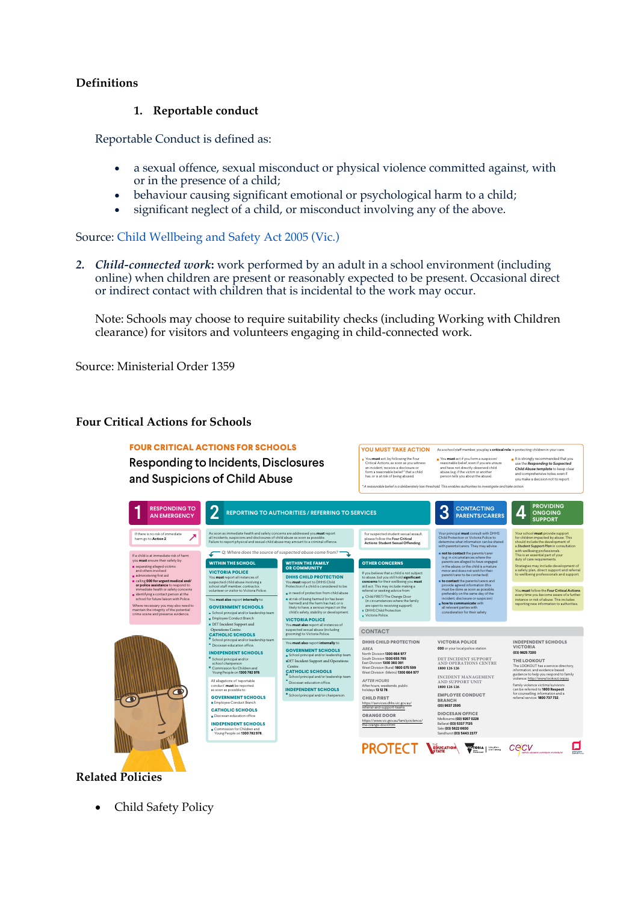# **Definitions**

# **1. Reportable conduct**

Reportable Conduct is defined as:

- a sexual offence, sexual misconduct or physical violence committed against, with or in the presence of a child;
- behaviour causing significant emotional or psychological harm to a child;
- significant neglect of a child, or misconduct involving any of the above.

Source: [Child Wellbeing and Safety Act 2005](https://content.legislation.vic.gov.au/sites/default/files/2021-11/05-83aa034%20authorised.PDF) (Vic.)

*2. Child-connected work***:** work performed by an adult in a school environment (including online) when children are present or reasonably expected to be present. Occasional direct or indirect contact with children that is incidental to the work may occur.

Note: Schools may choose to require suitability checks (including Working with Children clearance) for visitors and volunteers engaging in child-connected work.

Source: [Ministerial Order](https://www.education.vic.gov.au/Documents/about/programs/health/protect/Ministerial_Order.pdf) 1359

### **Four Critical Actions for Schools**



**Related Policies** 

• Child Safety Policy